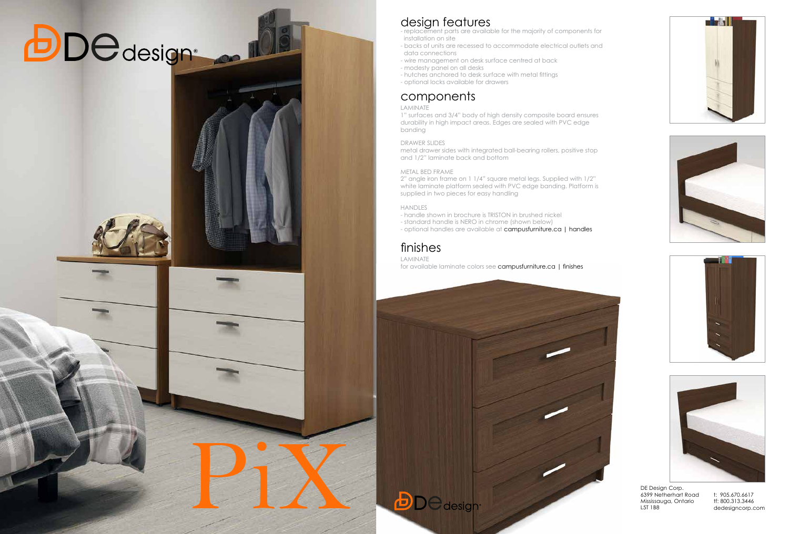PiX









# *<u>DDedesigne</u>*

## design features

- replacement parts are available for the majority of components for installation on site

- backs of units are recessed to accommodate electrical outlets and data connections
- wire management on desk surface centred at back
- modesty panel on all desks
- hutches anchored to desk surface with metal fittings
- optional locks available for drawers

### components

#### LAMINATE

1" surfaces and 3/4" body of high density composite board ensures durability in high impact areas. Edges are sealed with PVC edge banding

#### DRAWER SLIDES

metal drawer sides with integrated ball-bearing rollers, positive stop and 1/2" laminate back and bottom

#### METAL BED FRAME

2" angle iron frame on 1 1/4" square metal legs. Supplied with 1/2" white laminate platform sealed with PVC edge banding. Platform is supplied in two pieces for easy handling

#### HANDLES

- handle shown in brochure is TRISTON in brushed nickel

- standard handle is NERO in chrome (shown below)

- optional handles are available at campusfurniture.ca | handles

## finishes

LAMINATE

for available laminate colors see campusfurniture.ca | finishes

DE Design Corp. 6399 Netherhart Road Mississauga, Ontario L5T 1B8

t: 905.670.6617 tf: 800.313.3446 dedesigncorp.com